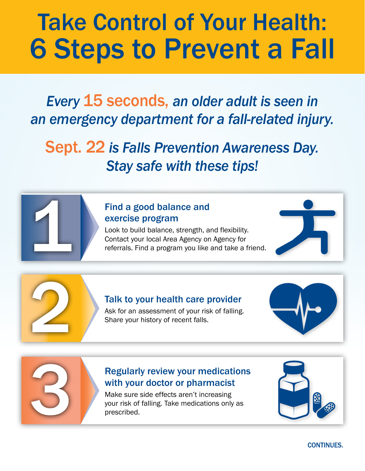# Take Control of Your Health: 6 Steps to Prevent a Fall

*Every* 15 seconds, *an older adult is seen in an emergency department for a fall-related injury.* 

Sept. 22 *is Falls Prevention Awareness Day. Stay safe with these tips!*

#### Find a good balance and exercise program

Look to build balance, strength, and flexibility. Contact your local Area Agency on Agency for referrals. Find a program you like and take a friend.

#### Talk to your health care provider

Ask for an assessment of your risk of falling. Share your history of recent falls.

#### Regularly review your medications with your doctor or pharmacist

Make sure side effects aren't increasing your risk of falling. Take medications only as prescribed.